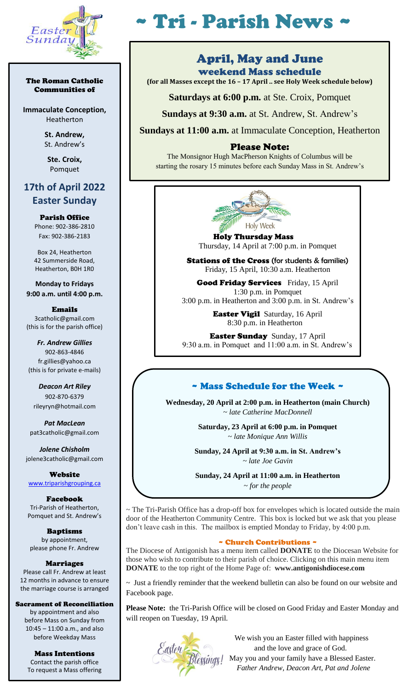

#### The Roman Catholic Communities of

**Immaculate Conception,** Heatherton

> **St. Andrew,**  St. Andrew's

**Ste. Croix,** Pomquet

# **17th of April 2022 Easter Sunday**

Parish Office Phone: 902-386-2810 Fax: 902-386-2183

Box 24, Heatherton 42 Summerside Road, Heatherton, B0H 1R0

**Monday to Fridays 9:00 a.m. until 4:00 p.m.**

Emails 3catholic@gmail.com (this is for the parish office)

*Fr. Andrew Gillies* 902-863-4846 fr.gillies@yahoo.ca (this is for private e-mails)

*Deacon Art Riley* 902-870-6379 rileyryn@hotmail.com

*Pat MacLean* pat3catholic@gmail.com

*Jolene Chisholm* jolene3catholic@gmail.com

Website [www.triparishgrouping.ca](http://www.triparishgrouping.ca/)

Facebook Tri-Parish of Heatherton, Pomquet and St. Andrew's

Baptisms by appointment, please phone Fr. Andrew

Marriages Please call Fr. Andrew at least 12 months in advance to ensure the marriage course is arranged

Sacrament of Reconciliation

by appointment and also before Mass on Sunday from 10:45 – 11:00 a.m., and also before Weekday Mass

Mass Intentions Contact the parish office To request a Mass offering

# ~ Tri - Parish News ~

### April, May and June weekend Mass schedule

ׇ֧֬

**(for all Masses except the 16 – 17 April .. see Holy Week schedule below)**

**Saturdays at 6:00 p.m.** at Ste. Croix, Pomquet

**Sundays at 9:30 a.m.** at St. Andrew, St. Andrew's

**Sundays at 11:00 a.m.** at Immaculate Conception, Heatherton

#### Please Note:

The Monsignor Hugh MacPherson Knights of Columbus will be starting the rosary 15 minutes before each Sunday Mass in St. Andrew's



 Holy Thursday Mass Thursday, 14 April at 7:00 p.m. in Pomquet

**Stations of the Cross** (for students & families) Friday, 15 April, 10:30 a.m. Heatherton

Good Friday Services Friday, 15 April 1:30 p.m. in Pomquet 3:00 p.m. in Heatherton and 3:00 p.m. in St. Andrew's

> Easter Vigil Saturday, 16 April 8:30 p.m. in Heatherton

Easter Sunday Sunday, 17 April 9:30 a.m. in Pomquet and 11:00 a.m. in St. Andrew's

## ~ Mass Schedule for the Week ~

**Wednesday, 20 April at 2:00 p.m. in Heatherton (main Church)** ~ *late Catherine MacDonnell*

> **Saturday, 23 April at 6:00 p.m. in Pomquet**  ~ *late Monique Ann Willis*

**Sunday, 24 April at 9:30 a.m. in St. Andrew's**  *~ late Joe Gavin*

**Sunday, 24 April at 11:00 a.m. in Heatherton**  *~ for the people*

~ The Tri-Parish Office has a drop-off box for envelopes which is located outside the main door of the Heatherton Community Centre. This box is locked but we ask that you please don't leave cash in this. The mailbox is emptied Monday to Friday, by 4:00 p.m.

#### ~ Church Contributions ~

The Diocese of Antigonish has a menu item called **DONATE** to the Diocesan Website for those who wish to contribute to their parish of choice. Clicking on this main menu item **DONATE** to the top right of the Home Page of: **www.antigonishdiocese.com** 

 $\sim$  Just a friendly reminder that the weekend bulletin can also be found on our website and Facebook page.

**Please Note:** the Tri-Parish Office will be closed on Good Friday and Easter Monday and will reopen on Tuesday, 19 April.



 We wish you an Easter filled with happiness and the love and grace of God. **May you and your family have a Blessed Easter.** *Father Andrew, Deacon Art, Pat and Jolene*